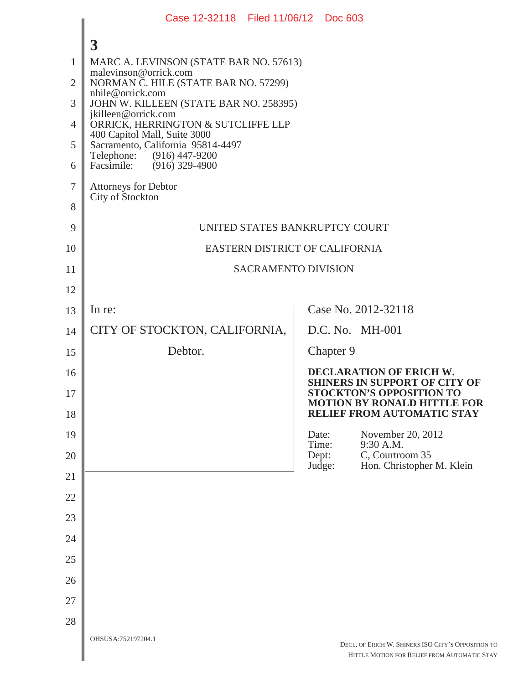|                | Case 12-32118 Filed 11/06/12 Doc 603                              |                                                                                                    |  |
|----------------|-------------------------------------------------------------------|----------------------------------------------------------------------------------------------------|--|
|                | $\overline{\mathbf{3}}$                                           |                                                                                                    |  |
| $\mathbf{1}$   | MARC A. LEVINSON (STATE BAR NO. 57613)                            |                                                                                                    |  |
| $\overline{2}$ | malevinson@orrick.com<br>NORMAN C. HILE (STATE BAR NO. 57299)     |                                                                                                    |  |
| 3              | nhile@orrick.com<br>JOHN W. KILLEEN (STATE BAR NO. 258395)        |                                                                                                    |  |
| $\overline{4}$ | jkilleen@orrick.com<br>ORRICK, HERRINGTON & SUTCLIFFE LLP         |                                                                                                    |  |
| 5              | 400 Capitol Mall, Suite 3000<br>Sacramento, California 95814-4497 |                                                                                                    |  |
| 6              | Telephone: (916) 447-9200<br>Facsimile: (916) 329-4900            |                                                                                                    |  |
| 7              | <b>Attorneys for Debtor</b>                                       |                                                                                                    |  |
| 8              | City of Stockton                                                  |                                                                                                    |  |
| 9              | UNITED STATES BANKRUPTCY COURT                                    |                                                                                                    |  |
| 10             | EASTERN DISTRICT OF CALIFORNIA                                    |                                                                                                    |  |
| 11             | <b>SACRAMENTO DIVISION</b>                                        |                                                                                                    |  |
| 12             |                                                                   |                                                                                                    |  |
| 13             | In re:                                                            | Case No. 2012-32118                                                                                |  |
| 14             | CITY OF STOCKTON, CALIFORNIA,                                     | D.C. No. MH-001                                                                                    |  |
| 15             | Debtor.                                                           | Chapter 9                                                                                          |  |
| 16             |                                                                   | <b>DECLARATION OF ERICH W.</b><br><b>SHINERS IN SUPPORT OF CITY OF</b>                             |  |
| 17             |                                                                   | <b>STOCKTON'S OPPOSITION TO</b><br><b>MOTION BY RONALD HITTLE FOR</b>                              |  |
| 18             |                                                                   | RELIEF FROM AUTOMATIC STAY                                                                         |  |
| 19             |                                                                   | November 20, 2012<br>Date:<br>9:30 A.M.<br>Time:                                                   |  |
| 20             |                                                                   | C, Courtroom 35<br>Dept:<br>Judge:<br>Hon. Christopher M. Klein                                    |  |
| 21             |                                                                   |                                                                                                    |  |
| 22             |                                                                   |                                                                                                    |  |
| 23             |                                                                   |                                                                                                    |  |
| 24             |                                                                   |                                                                                                    |  |
| 25             |                                                                   |                                                                                                    |  |
| 26             |                                                                   |                                                                                                    |  |
| 27             |                                                                   |                                                                                                    |  |
| 28             |                                                                   |                                                                                                    |  |
|                | OHSUSA:752197204.1                                                | DECL. OF ERICH W. SHINERS ISO CITY'S OPPOSITION TO<br>HITTLE MOTION FOR RELIEF FROM AUTOMATIC STAY |  |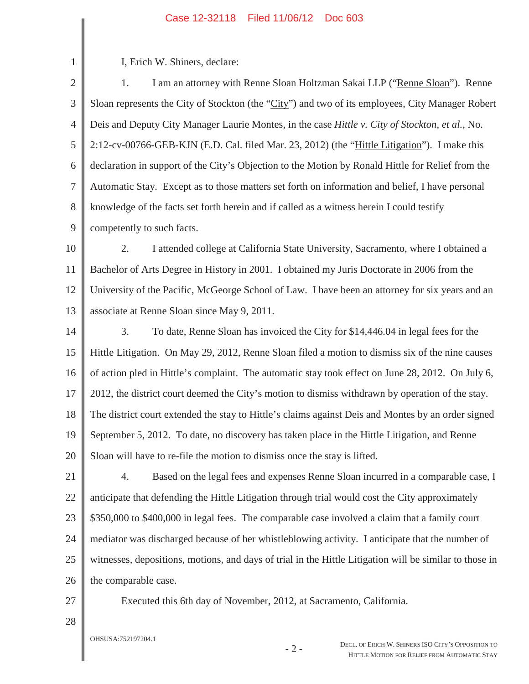## Case 12-32118 Filed 11/06/12 Doc 603

I, Erich W. Shiners, declare:

1

2 3 4 5 6 7 8 9 1. I am an attorney with Renne Sloan Holtzman Sakai LLP ("Renne Sloan"). Renne Sloan represents the City of Stockton (the "City") and two of its employees, City Manager Robert Deis and Deputy City Manager Laurie Montes, in the case *Hittle v. City of Stockton, et al.*, No. 2:12-cv-00766-GEB-KJN (E.D. Cal. filed Mar. 23, 2012) (the "Hittle Litigation"). I make this declaration in support of the City's Objection to the Motion by Ronald Hittle for Relief from the Automatic Stay. Except as to those matters set forth on information and belief, I have personal knowledge of the facts set forth herein and if called as a witness herein I could testify competently to such facts.

10 11 12 13 2. I attended college at California State University, Sacramento, where I obtained a Bachelor of Arts Degree in History in 2001. I obtained my Juris Doctorate in 2006 from the University of the Pacific, McGeorge School of Law. I have been an attorney for six years and an associate at Renne Sloan since May 9, 2011.

14 15 16 17 18 19 20 3. To date, Renne Sloan has invoiced the City for \$14,446.04 in legal fees for the Hittle Litigation. On May 29, 2012, Renne Sloan filed a motion to dismiss six of the nine causes of action pled in Hittle's complaint. The automatic stay took effect on June 28, 2012. On July 6, 2012, the district court deemed the City's motion to dismiss withdrawn by operation of the stay. The district court extended the stay to Hittle's claims against Deis and Montes by an order signed September 5, 2012. To date, no discovery has taken place in the Hittle Litigation, and Renne Sloan will have to re-file the motion to dismiss once the stay is lifted.

21 22 23 24 25 26 4. Based on the legal fees and expenses Renne Sloan incurred in a comparable case, I anticipate that defending the Hittle Litigation through trial would cost the City approximately \$350,000 to \$400,000 in legal fees. The comparable case involved a claim that a family court mediator was discharged because of her whistleblowing activity. I anticipate that the number of witnesses, depositions, motions, and days of trial in the Hittle Litigation will be similar to those in the comparable case.

27

Executed this 6th day of November, 2012, at Sacramento, California.

28